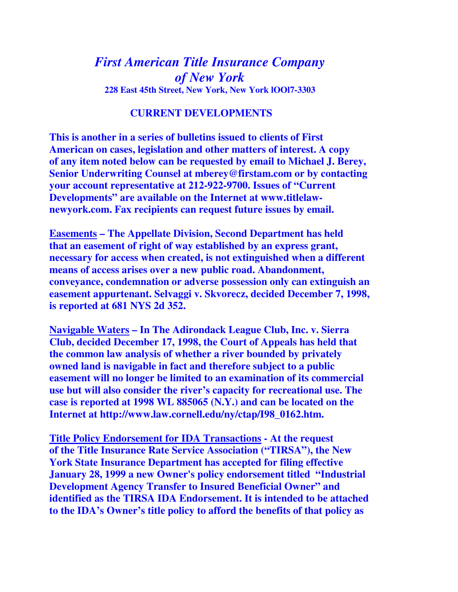## *First American Title Insurance Company of New York*  **228 East 45th Street, New York, New York lOOl7-3303**

## **CURRENT DEVELOPMENTS**

**This is another in a series of bulletins issued to clients of First American on cases, legislation and other matters of interest. A copy of any item noted below can be requested by email to Michael J. Berey, Senior Underwriting Counsel at mberey@firstam.com or by contacting your account representative at 212-922-9700. Issues of "Current Developments" are available on the Internet at www.titlelawnewyork.com. Fax recipients can request future issues by email.** 

**Easements – The Appellate Division, Second Department has held that an easement of right of way established by an express grant, necessary for access when created, is not extinguished when a different means of access arises over a new public road. Abandonment, conveyance, condemnation or adverse possession only can extinguish an easement appurtenant. Selvaggi v. Skvorecz, decided December 7, 1998, is reported at 681 NYS 2d 352.** 

**Navigable Waters – In The Adirondack League Club, Inc. v. Sierra Club, decided December 17, 1998, the Court of Appeals has held that the common law analysis of whether a river bounded by privately owned land is navigable in fact and therefore subject to a public easement will no longer be limited to an examination of its commercial use but will also consider the river's capacity for recreational use. The case is reported at 1998 WL 885065 (N.Y.) and can be located on the Internet at http://www.law.cornell.edu/ny/ctap/I98\_0162.htm.** 

**Title Policy Endorsement for IDA Transactions - At the request of the Title Insurance Rate Service Association ("TIRSA"), the New York State Insurance Department has accepted for filing effective January 28, 1999 a new Owner's policy endorsement titled "Industrial Development Agency Transfer to Insured Beneficial Owner" and identified as the TIRSA IDA Endorsement. It is intended to be attached to the IDA's Owner's title policy to afford the benefits of that policy as**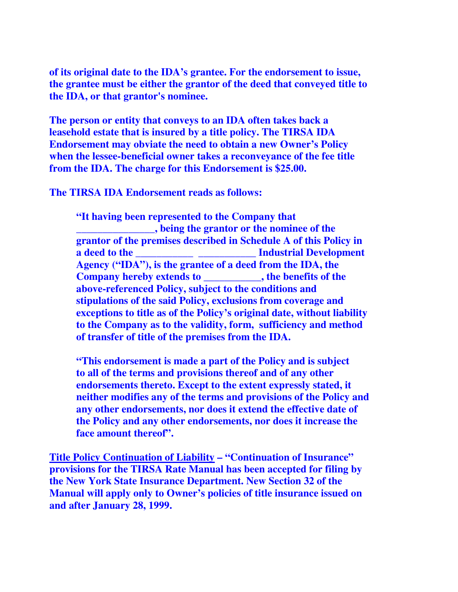**of its original date to the IDA's grantee. For the endorsement to issue, the grantee must be either the grantor of the deed that conveyed title to the IDA, or that grantor's nominee.** 

**The person or entity that conveys to an IDA often takes back a leasehold estate that is insured by a title policy. The TIRSA IDA Endorsement may obviate the need to obtain a new Owner's Policy when the lessee-beneficial owner takes a reconveyance of the fee title from the IDA. The charge for this Endorsement is \$25.00.** 

**The TIRSA IDA Endorsement reads as follows:** 

**"It having been represented to the Company that \_\_\_\_\_\_\_\_\_\_\_\_\_\_\_, being the grantor or the nominee of the grantor of the premises described in Schedule A of this Policy in a deed to the** <br>**a Industrial Development Agency ("IDA"), is the grantee of a deed from the IDA, the Company hereby extends to \_\_\_\_\_\_\_\_\_\_\_, the benefits of the above-referenced Policy, subject to the conditions and stipulations of the said Policy, exclusions from coverage and exceptions to title as of the Policy's original date, without liability to the Company as to the validity, form, sufficiency and method of transfer of title of the premises from the IDA.** 

**"This endorsement is made a part of the Policy and is subject to all of the terms and provisions thereof and of any other endorsements thereto. Except to the extent expressly stated, it neither modifies any of the terms and provisions of the Policy and any other endorsements, nor does it extend the effective date of the Policy and any other endorsements, nor does it increase the face amount thereof".** 

**Title Policy Continuation of Liability – "Continuation of Insurance" provisions for the TIRSA Rate Manual has been accepted for filing by the New York State Insurance Department. New Section 32 of the Manual will apply only to Owner's policies of title insurance issued on and after January 28, 1999.**